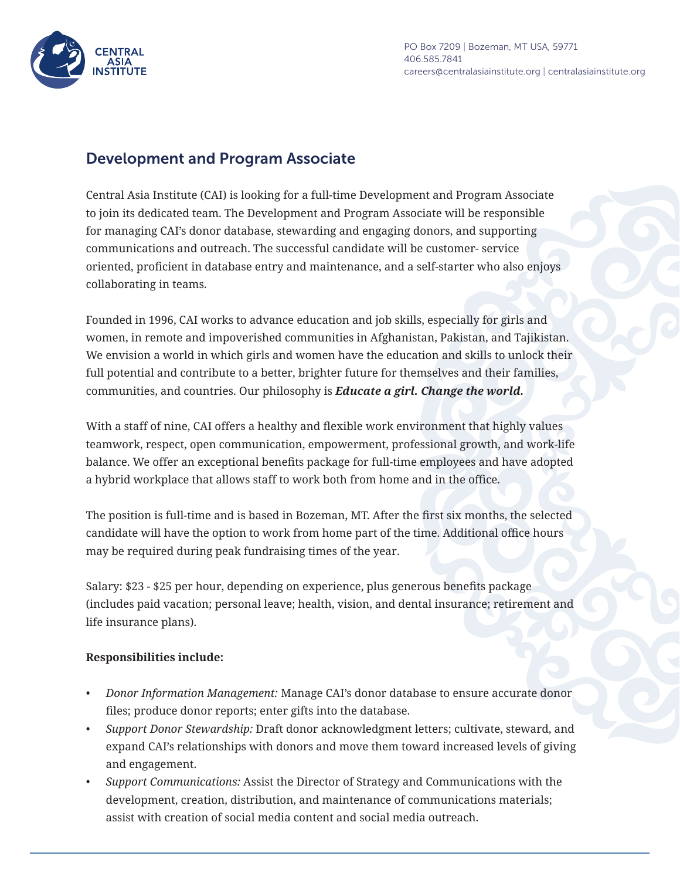

PO Box 7209 | Bozeman, MT USA, 59771 406.585.7841 careers@centralasiainstitute.org | centralasiainstitute.org

## Development and Program Associate

Central Asia Institute (CAI) is looking for a full-time Development and Program Associate to join its dedicated team. The Development and Program Associate will be responsible for managing CAI's donor database, stewarding and engaging donors, and supporting communications and outreach. The successful candidate will be customer- service oriented, proficient in database entry and maintenance, and a self-starter who also enjoys collaborating in teams.

Founded in 1996, CAI works to advance education and job skills, especially for girls and women, in remote and impoverished communities in Afghanistan, Pakistan, and Tajikistan. We envision a world in which girls and women have the education and skills to unlock their full potential and contribute to a better, brighter future for themselves and their families, communities, and countries. Our philosophy is *Educate a girl. Change the world.*

With a staff of nine, CAI offers a healthy and flexible work environment that highly values teamwork, respect, open communication, empowerment, professional growth, and work-life balance. We offer an exceptional benefits package for full-time employees and have adopted a hybrid workplace that allows staff to work both from home and in the office.

The position is full-time and is based in Bozeman, MT. After the first six months, the selected candidate will have the option to work from home part of the time. Additional office hours may be required during peak fundraising times of the year.

Salary: \$23 - \$25 per hour, depending on experience, plus generous benefits package (includes paid vacation; personal leave; health, vision, and dental insurance; retirement and life insurance plans).

## **Responsibilities include:**

- *Donor Information Management:* Manage CAI's donor database to ensure accurate donor files; produce donor reports; enter gifts into the database.
- *Support Donor Stewardship:* Draft donor acknowledgment letters; cultivate, steward, and expand CAI's relationships with donors and move them toward increased levels of giving and engagement.
- *Support Communications:* Assist the Director of Strategy and Communications with the development, creation, distribution, and maintenance of communications materials; assist with creation of social media content and social media outreach.